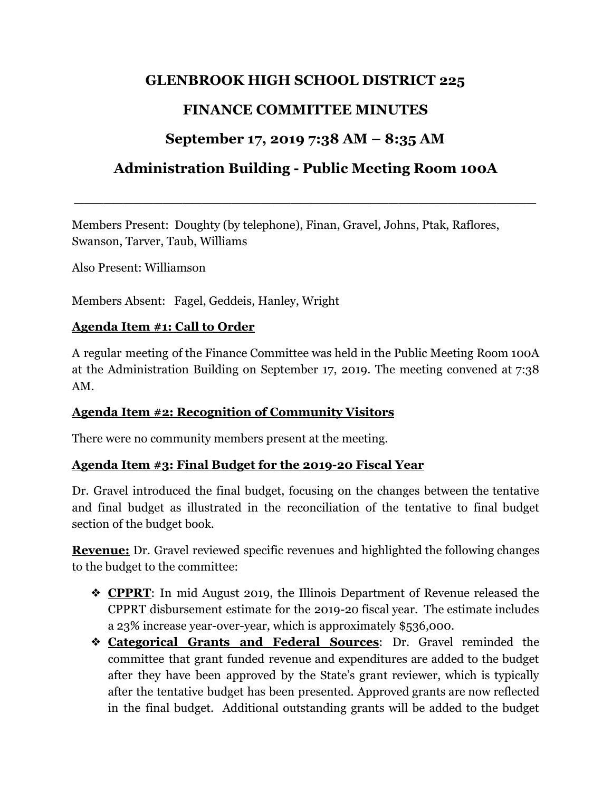## **GLENBROOK HIGH SCHOOL DISTRICT 225**

# **FINANCE COMMITTEE MINUTES**

# **September 17, 2019 7:38 AM – 8:35 AM**

# **Administration Building - Public Meeting Room 100A**

**\_\_\_\_\_\_\_\_\_\_\_\_\_\_\_\_\_\_\_\_\_\_\_\_\_\_\_\_\_\_\_\_\_\_\_\_\_\_\_\_\_\_\_\_\_\_\_**

Members Present: Doughty (by telephone), Finan, Gravel, Johns, Ptak, Raflores, Swanson, Tarver, Taub, Williams

Also Present: Williamson

Members Absent: Fagel, Geddeis, Hanley, Wright

#### **Agenda Item #1: Call to Order**

A regular meeting of the Finance Committee was held in the Public Meeting Room 100A at the Administration Building on September 17, 2019. The meeting convened at 7:38 AM.

## **Agenda Item #2: Recognition of Community Visitors**

There were no community members present at the meeting.

## **Agenda Item #3: Final Budget for the 2019-20 Fiscal Year**

Dr. Gravel introduced the final budget, focusing on the changes between the tentative and final budget as illustrated in the reconciliation of the tentative to final budget section of the budget book.

**Revenue:** Dr. Gravel reviewed specific revenues and highlighted the following changes to the budget to the committee:

- ❖ **CPPRT**: In mid August 2019, the Illinois Department of Revenue released the CPPRT disbursement estimate for the 2019-20 fiscal year. The estimate includes a 23% increase year-over-year, which is approximately \$536,000.
- ❖ **Categorical Grants and Federal Sources**: Dr. Gravel reminded the committee that grant funded revenue and expenditures are added to the budget after they have been approved by the State's grant reviewer, which is typically after the tentative budget has been presented. Approved grants are now reflected in the final budget. Additional outstanding grants will be added to the budget